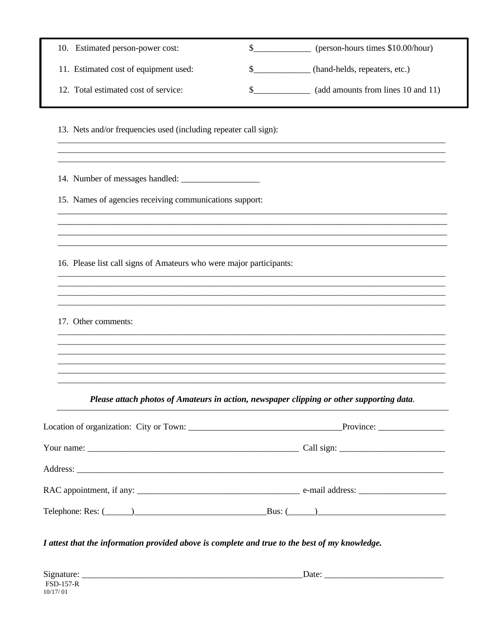| 10. Estimated person-power cost:                                    | \$<br>(person-hours times \$10.00/hour)                                                  |
|---------------------------------------------------------------------|------------------------------------------------------------------------------------------|
| 11. Estimated cost of equipment used:                               | \$<br>(hand-helds, repeaters, etc.)                                                      |
| 12. Total estimated cost of service:                                | \$<br>(add amounts from lines 10 and 11)                                                 |
| 13. Nets and/or frequencies used (including repeater call sign):    |                                                                                          |
|                                                                     |                                                                                          |
| 15. Names of agencies receiving communications support:             |                                                                                          |
| 16. Please list call signs of Amateurs who were major participants: |                                                                                          |
| 17. Other comments:                                                 |                                                                                          |
|                                                                     | Please attach photos of Amateurs in action, newspaper clipping or other supporting data. |
|                                                                     |                                                                                          |
|                                                                     |                                                                                          |
|                                                                     |                                                                                          |
|                                                                     |                                                                                          |
|                                                                     |                                                                                          |

| Signature:       | Date: |
|------------------|-------|
| <b>FSD-157-R</b> |       |
| 10/17/01         |       |